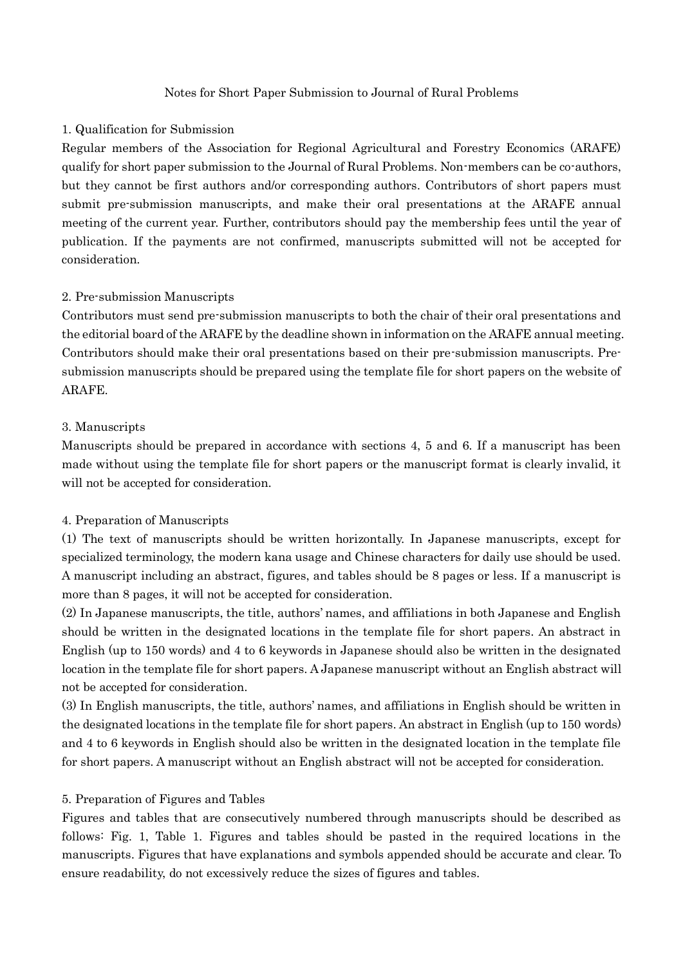### Notes for Short Paper Submission to Journal of Rural Problems

### 1. Qualification for Submission

Regular members of the Association for Regional Agricultural and Forestry Economics (ARAFE) qualify for short paper submission to the Journal of Rural Problems. Non-members can be co-authors, but they cannot be first authors and/or corresponding authors. Contributors of short papers must submit pre-submission manuscripts, and make their oral presentations at the ARAFE annual meeting of the current year. Further, contributors should pay the membership fees until the year of publication. If the payments are not confirmed, manuscripts submitted will not be accepted for consideration.

# 2. Pre-submission Manuscripts

Contributors must send pre-submission manuscripts to both the chair of their oral presentations and the editorial board of the ARAFE by the deadline shown in information on the ARAFE annual meeting. Contributors should make their oral presentations based on their pre-submission manuscripts. Presubmission manuscripts should be prepared using the template file for short papers on the website of ARAFE.

## 3. Manuscripts

Manuscripts should be prepared in accordance with sections 4, 5 and 6. If a manuscript has been made without using the template file for short papers or the manuscript format is clearly invalid, it will not be accepted for consideration.

# 4. Preparation of Manuscripts

(1) The text of manuscripts should be written horizontally. In Japanese manuscripts, except for specialized terminology, the modern kana usage and Chinese characters for daily use should be used. A manuscript including an abstract, figures, and tables should be 8 pages or less. If a manuscript is more than 8 pages, it will not be accepted for consideration.

(2) In Japanese manuscripts, the title, authors' names, and affiliations in both Japanese and English should be written in the designated locations in the template file for short papers. An abstract in English (up to 150 words) and 4 to 6 keywords in Japanese should also be written in the designated location in the template file for short papers. A Japanese manuscript without an English abstract will not be accepted for consideration.

(3) In English manuscripts, the title, authors' names, and affiliations in English should be written in the designated locations in the template file for short papers. An abstract in English (up to 150 words) and 4 to 6 keywords in English should also be written in the designated location in the template file for short papers. A manuscript without an English abstract will not be accepted for consideration.

#### 5. Preparation of Figures and Tables

Figures and tables that are consecutively numbered through manuscripts should be described as follows: Fig. 1, Table 1. Figures and tables should be pasted in the required locations in the manuscripts. Figures that have explanations and symbols appended should be accurate and clear. To ensure readability, do not excessively reduce the sizes of figures and tables.